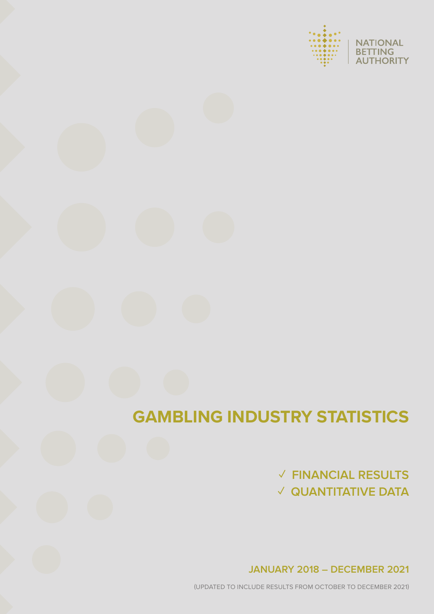



# **GAMBLING INDUSTRY STATISTICS**

# **✓ FINANCIAL RESULTS ✓ QUANTITATIVE DATA**

**JANUARY 2018 – DECEMBER 2021** 

(UPDATED TO INCLUDE RESULTS FROM OCTOBER TO DECEMBER 2021)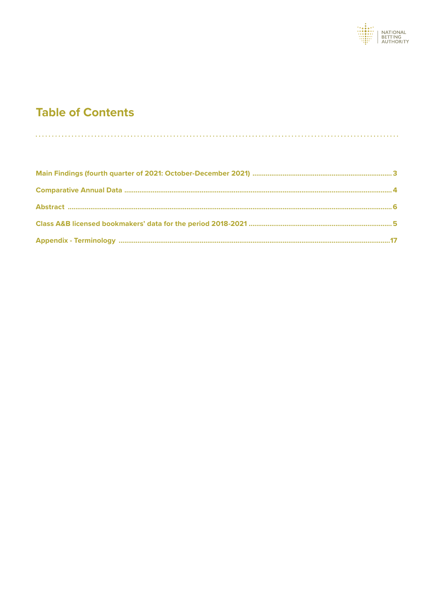

 $\sim$ 

# **Table of Contents**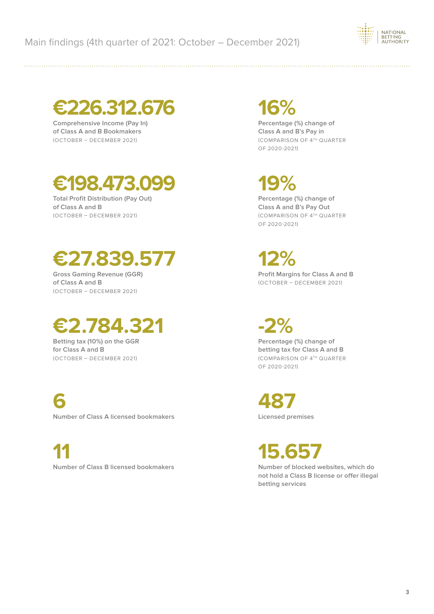

**€226.312.676**

**Comprehensive Income (Pay In) of Class A and B Bookmakers** (OCTOBER – DECEMBER 2021)

# **€198.473.099**

**Total Profit Distribution (Pay Out) of Class A and B** (OCTOBER – DECEMBER 2021)

# **€27.839.577**

**Gross Gaming Revenue (GGR) of Class A and B** (OCTOBER – DECEMBER 2021)

# **€2.784.321**

**Betting tax (10%) on the GGR for Class A and B** (OCTOBER – DECEMBER 2021)

**6 Number of Class A licensed bookmakers**

**11 Number of Class B licensed bookmakers**

# **16%**

**Percentage (%) change of Class A and B's Pay in** (COMPARISON OF 4TH QUARTER OF 2020-2021)

**19%** 

**Percentage (%) change of Class A and B's Pay Out** (COMPARISON OF 4TH QUARTER OF 2020-2021)

**12% Profit Margins for Class A and B** (OCTOBER – DECEMBER 2021)

**-2% Percentage (%) change of betting tax for Class A and B** (COMPARISON OF 4TH QUARTER OF 2020-2021)

**487 Licensed premises**

**15.657**

**Number of blocked websites, which do not hold a Class B license or offer illegal betting services**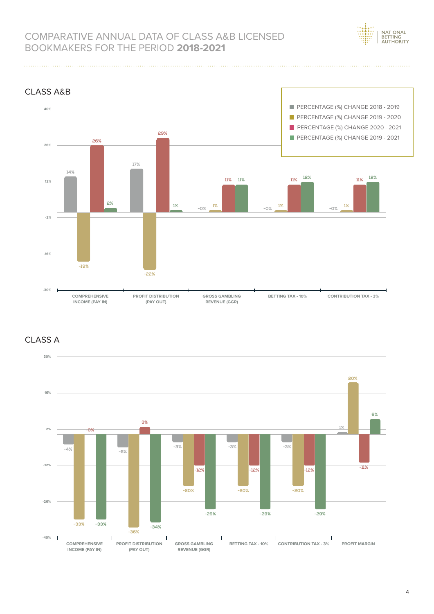

# COMPARATIVE ANNUAL DATA OF CLASS A&B LICENSED BOOKMAKERS FOR THE PERIOD **2018-2021**



### CLASS Α

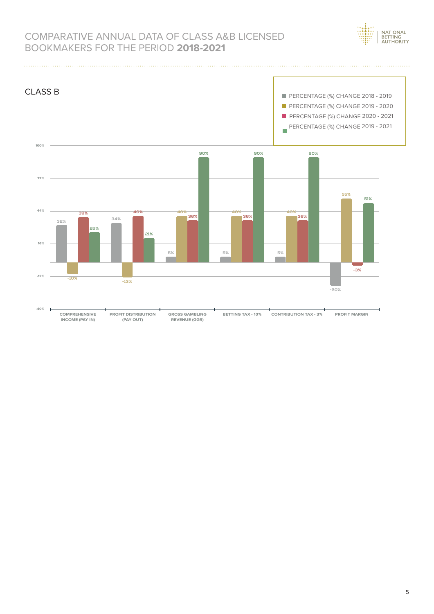

# COMPARATIVE ANNUAL DATA OF CLASS A&B LICENSED BOOKMAKERS FOR THE PERIOD **2018-2021**

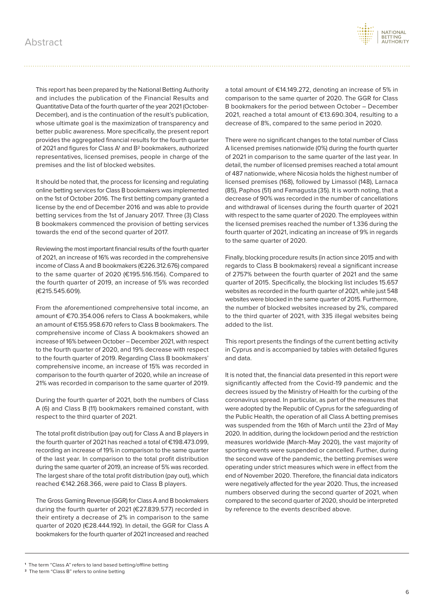

This report has been prepared by the National Betting Authority and includes the publication of the Financial Results and Quantitative Data of the fourth quarter of the year 2021 (October-December), and is the continuation of the result's publication, whose ultimate goal is the maximization of transparency and better public awareness. More specifically, the present report provides the aggregated financial results for the fourth quarter of 2021 and figures for Class A1 and B2 bookmakers, authorized representatives, licensed premises, people in charge of the premises and the list of blocked websites.

It should be noted that, the process for licensing and regulating online betting services for Class B bookmakers was implemented on the 1st of October 2016. The first betting company granted a license by the end of December 2016 and was able to provide betting services from the 1st of January 2017. Three (3) Class B bookmakers commenced the provision of betting services towards the end of the second quarter of 2017.

Reviewing the most important financial results of the fourth quarter of 2021, an increase of 16% was recorded in the comprehensive income of Class A and B bookmakers (€226.312.676) compared to the same quarter of 2020 (€195.516.156). Compared to the fourth quarter of 2019, an increase of 5% was recorded (€215.545.609).

From the aforementioned comprehensive total income, an amount of €70.354.006 refers to Class A bookmakers, while an amount of €155.958.670 refers to Class B bookmakers. The comprehensive income of Class A bookmakers showed an increase of 16% between October – December 2021, with respect to the fourth quarter of 2020, and 19% decrease with respect to the fourth quarter of 2019. Regarding Class B bookmakers' comprehensive income, an increase of 15% was recorded in comparison to the fourth quarter of 2020, while an increase of 21% was recorded in comparison to the same quarter of 2019.

During the fourth quarter of 2021, both the numbers of Class A (6) and Class B (11) bookmakers remained constant, with respect to the third quarter of 2021.

The total profit distribution (pay out) for Class A and B players in the fourth quarter of 2021 has reached a total of €198.473.099, recording an increase of 19% in comparison to the same quarter of the last year. In comparison to the total profit distribution during the same quarter of 2019, an increase of 5% was recorded. The largest share of the total profit distribution (pay out), which reached €142.268.366, were paid to Class B players.

The Gross Gaming Revenue (GGR) for Class A and B bookmakers during the fourth quarter of 2021 (€27.839.577) recorded in their entirety a decrease of 2% in comparison to the same quarter of 2020 (€28.444.192). In detail, the GGR for Class A bookmakers for the fourth quarter of 2021 increased and reached

a total amount of €14.149.272, denoting an increase of 5% in comparison to the same quarter of 2020. The GGR for Class B bookmakers for the period between October – December 2021, reached a total amount of €13.690.304, resulting to a decrease of 8%, compared to the same period in 2020.

There were no significant changes to the total number of Class A licensed premises nationwide (0%) during the fourth quarter of 2021 in comparison to the same quarter of the last year. In detail, the number of licensed premises reached a total amount of 487 nationwide, where Nicosia holds the highest number of licensed premises (168), followed by Limassol (148), Larnaca (85), Paphos (51) and Famagusta (35). It is worth noting, that a decrease of 90% was recorded in the number of cancellations and withdrawal of licenses during the fourth quarter of 2021 with respect to the same quarter of 2020. The employees within the licensed premises reached the number of 1.336 during the fourth quarter of 2021, indicating an increase of 9% in regards to the same quarter of 2020.

Finally, blocking procedure results (in action since 2015 and with regards to Class B bookmakers) reveal a significant increase of 2757% between the fourth quarter of 2021 and the same quarter of 2015. Specifically, the blocking list includes 15.657 websites as recorded in the fourth quarter of 2021, while just 548 websites were blocked in the same quarter of 2015. Furthermore, the number of blocked websites increased by 2%, compared to the third quarter of 2021, with 335 illegal websites being added to the list.

This report presents the findings of the current betting activity in Cyprus and is accompanied by tables with detailed figures and data.

It is noted that, the financial data presented in this report were significantly affected from the Covid-19 pandemic and the decrees issued by the Ministry of Health for the curbing of the coronavirus spread. In particular, as part of the measures that were adopted by the Republic of Cyprus for the safeguarding of the Public Health, the operation of all Class A betting premises was suspended from the 16th of March until the 23rd of May 2020. In addition, during the lockdown period and the restriction measures worldwide (March-May 2020), the vast majority of sporting events were suspended or cancelled. Further, during the second wave of the pandemic, the betting premises were operating under strict measures which were in effect from the end of November 2020. Therefore, the financial data indicators were negatively affected for the year 2020. Thus, the increased numbers observed during the second quarter of 2021, when compared to the second quarter of 2020, should be interpreted by reference to the events described above.

**<sup>1</sup>** The term "Class A" refers to land based betting/offline betting

**<sup>2</sup>** The term "Class B" refers to online betting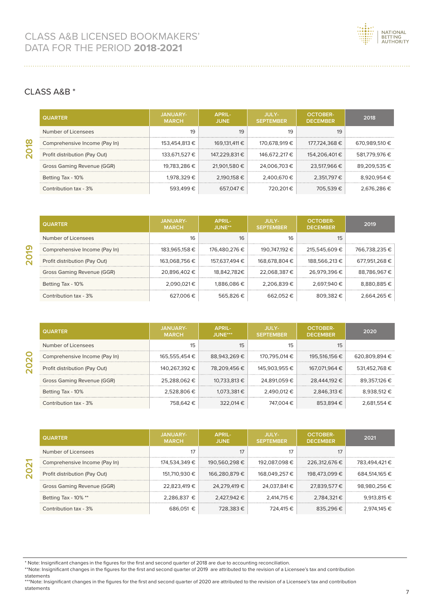

#### CLASS Α&B \*

**2018**

**2019**

**2021**

| <b>QUARTER</b>                | <b>JANUARY-</b><br><b>MARCH</b> | <b>APRIL-</b><br><b>JUNE</b> | JULY-<br><b>SEPTEMBER</b> | <b>OCTOBER-</b><br><b>DECEMBER</b> | 2018          |
|-------------------------------|---------------------------------|------------------------------|---------------------------|------------------------------------|---------------|
| Number of Licensees           | 19                              | 19                           | 19                        | 19                                 |               |
| Comprehensive Income (Pay In) | 153,454,813 €                   | 169.131.411 €                | 170.678.919 €             | 177.724.368 €                      | 670.989.510 € |
| Profit distribution (Pay Out) | 133,671,527 €                   | 147.229.831€                 | 146.672.217 €             | 154.206.401€                       | 581.779.976 € |
| Gross Gaming Revenue (GGR)    | 19.783.286 €                    | 21.901.580 €                 | 24.006.703 €              | 23.517.966 €                       | 89.209.535€   |
| Betting Tax - 10%             | 1,978,329 €                     | 2.190.158 €                  | 2.400.670 €               | 2.351.797 €                        | 8.920.954 €   |
| Contribution tax - 3%         | 593.499€                        | 657.047€                     | 720.201€                  | 705.539€                           | 2.676.286 €   |

| <b>QUARTER</b>                | JANUARY-<br><b>MARCH</b> | <b>APRIL-</b><br>$J$ UNE <sup>**</sup> | JULY-<br><b>SEPTEMBER</b> | OCTORFR-<br><b>DECEMBER</b> | 2019          |
|-------------------------------|--------------------------|----------------------------------------|---------------------------|-----------------------------|---------------|
| Number of Licensees           | 16                       | 16                                     | 16                        | 15                          |               |
| Comprehensive Income (Pay In) | 183,965,158 €            | 176.480.276 €                          | 190.747.192 €             | 215.545.609€                | 766.738.235 € |
| Profit distribution (Pay Out) | 163,068,756 €            | 157.637.494 €                          | 168,678,804 €             | 188,566,213 €               | 677.951.268 € |
| Gross Gaming Revenue (GGR)    | 20.896.402 €             | 18.842.782€                            | 22.068.387 €              | 26.979.396 €                | 88.786.967 €  |
| Betting Tax - 10%             | $2.090.021 \in$          | 1.886.086 €                            | 2.206.839 €               | 2.697.940 €                 | 8.880.885€    |
| Contribution tax - 3%         | 627.006€                 | 565.826€                               | 662052E                   | 809.382€                    | 2.664.265€    |

| <b>QUARTER</b>                | <b>JANUARY-</b><br><b>MARCH</b> | <b>APRIL-</b><br>$J$ UNF*** | <b>JULY-</b><br><b>SEPTEMBER</b> | OCTORFR-<br><b>DECEMBER</b> | 2020          |
|-------------------------------|---------------------------------|-----------------------------|----------------------------------|-----------------------------|---------------|
| Number of Licensees           | 15                              | 15                          | 15                               | 15                          |               |
| Comprehensive Income (Pay In) | 165.555.454 €                   | 88.943.269€                 | 170.795.014 €                    | 195.516.156 €               | 620.809.894 € |
| Profit distribution (Pay Out) | 140,267,392 €                   | 78.209.456€                 | 145,903,955 €                    | 167,071,964 €               | 531,452,768 € |
| Gross Gaming Revenue (GGR)    | 25.288.062 €                    | 10.733.813 €                | 24.891.059 €                     | 28,444,192 €                | 89.357.126 €  |
| Betting Tax - 10%             | 2.528.806€                      | 1.073.381€                  | 2.490.012 €                      | 2.846.313 €                 | 8.938.512 €   |
| Contribution tax - 3%         | 758.642€                        | 322.014 €                   | 747.004€                         | 853.894€                    | 2.681.554€    |

| <b>QUARTER</b>                | JANUARY-<br><b>MARCH</b> | <b>APRIL-</b><br><b>JUNE</b> | JULY-<br><b>SEPTEMBER</b> | OCTOBER-<br><b>DECEMBER</b> | 2021          |
|-------------------------------|--------------------------|------------------------------|---------------------------|-----------------------------|---------------|
| Number of Licensees           | 17                       | 17                           |                           | 17                          |               |
| Comprehensive Income (Pay In) | 174.534.349 €            | 190.560.298 €                | 192.087.098 €             | 226.312.676 €               | 783.494.421€  |
| Profit distribution (Pay Out) | 151.710.930 €            | 166.280.879€                 | 168.049.257 €             | 198.473.099 €               | 684.514.165 € |
| Gross Gaming Revenue (GGR)    | 22.823.419 €             | 24.279.419 €                 | 24.037.841 €              | 27.839.577 €                | 98.980.256 €  |
| Betting Tax - $10\%$ **       | $2.286.837 \in$          | 2.427.942 €                  | 2.414.715 €               | 2.784.321€                  | 9.913.815 €   |
| Contribution tax - 3%         | 686.051 €                | 728.383€                     | 724.415€                  | 835.296€                    | 2.974.145 €   |

- \*\*Note: Insignificant changes in the figures for the first and second quarter of 2019 are attributed to the revision of a Licensee's tax and contribution statements
- \*\*\*Note: Insignificant changes in the figures for the first and second quarter of 2020 are attributed to the revision of a Licensee's tax and contribution statements

<sup>\*</sup> Note: Insignificant changes in the figures for the first and second quarter of 2018 are due to accounting reconciliation.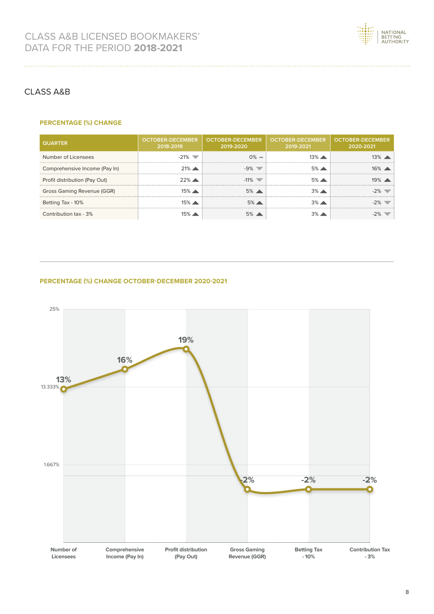

#### CLASS Α&B

#### **PERCENTAGE (%) CHANGE**

| <b>QUARTER</b>                | <b>OCTOBER-DECEMBER</b><br>2018-2019 | <b>OCTOBER-DECEMBER</b><br>2019-2020 | <b>OCTOBER-DECEMBER</b><br>2019-2021 | OCTOBER-DECEMBER<br>2020-2021 |
|-------------------------------|--------------------------------------|--------------------------------------|--------------------------------------|-------------------------------|
| Number of Licensees           | $-21\%$                              | $0\% =$                              | $13\%$ $\rightarrow$                 | $13\%$ $\rightarrow$          |
| Comprehensive Income (Pay In) | $21\%$ $\blacktriangle$              | $-9\%$                               | $5\%$ $\triangle$                    | $16\%$ $\rightarrow$          |
| Profit distribution (Pay Out) | $22\%$ $\triangle$                   | $-11\%$                              | $5\%$ $\triangle$                    | $19\%$ $\rightarrow$          |
| Gross Gaming Revenue (GGR)    | $15\%$ $\rightarrow$                 | $5\%$                                | $3\%$ $\triangle$                    |                               |
| Betting Tax - 10%             | $15\%$ $\rightarrow$                 | $5\%$ $\triangle$                    | $3\%$ $\triangle$                    |                               |
| Contribution tax - 3%         |                                      | 5%                                   |                                      |                               |

#### **PERCENTAGE (%) CHANGE OCTOBER-DECEMBER 2020-2021**

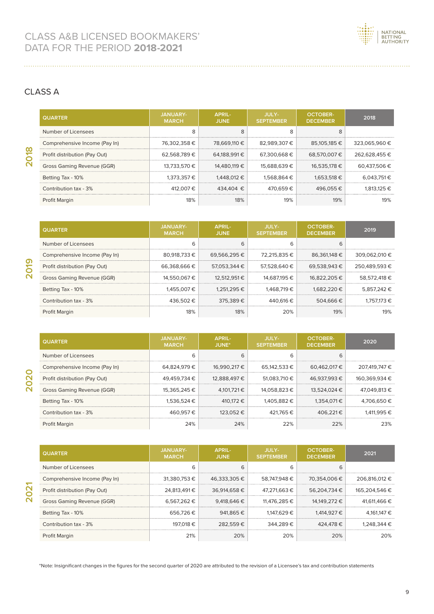

#### CLASS Α

| <b>QUARTER</b>                | <b>JANUARY-</b><br><b>MARCH</b> | <b>APRIL-</b><br><b>JUNE</b> | JULY-<br><b>SEPTEMBER</b> | <b>OCTOBER-</b><br><b>DECEMBER</b> | 2018            |
|-------------------------------|---------------------------------|------------------------------|---------------------------|------------------------------------|-----------------|
| Number of Licensees           | 8                               | 8                            | $\Omega$<br>ਨ             | 8                                  |                 |
| Comprehensive Income (Pay In) | 76.302.358€                     | 78,669,110 €                 | 82.989.307€               | 85.105.185 €                       | 323.065.960 €   |
| Profit distribution (Pay Out) | 62.568.789€                     | 64.188.991€                  | 67.300.668€               | 68.570.007€                        | 262.628.455 €   |
| Gross Gaming Revenue (GGR)    | 13.733.570 €                    | 14.480.119 €                 | 15.688.639 €              | 16,535,178 €                       | 60.437.506 €    |
| Betting Tax - 10%             | 1.373.357€                      | 1.448.012 €                  | 1.568.864 €               | 1.653.518 €                        | $6.043.751 \in$ |
| Contribution tax - 3%         | 412.007€                        | 434.404 €                    | 470.659€                  | 496.055€                           | 1.813.125 €     |
| Profit Margin                 | 18%                             | 18%                          | 19%                       | 19%                                | 19%             |

| <b>QUARTER</b>                | <b>JANUARY-</b><br><b>MARCH</b> | <b>APRIL-</b><br><b>JUNE</b> | JULY-<br><b>SEPTEMBER</b> | <b>OCTOBER-</b><br><b>DECEMBER</b> | 2019          |
|-------------------------------|---------------------------------|------------------------------|---------------------------|------------------------------------|---------------|
| Number of Licensees           | 6                               | 6                            | 6                         | h                                  |               |
| Comprehensive Income (Pay In) | 80.918.733 €                    | 69.566.295€                  | 72.215.835 €              | 86.361.148 €                       | 309.062.010 € |
| Profit distribution (Pay Out) | 66.368.666 €                    | 57.053.344 €                 | 57.528.640 €              | 69.538.943 €                       | 250.489.593€  |
| Gross Gaming Revenue (GGR)    | 14.550.067 €                    | 12.512.951 €                 | 14.687.195 €              | 16.822.205 €                       | 58.572.418 €  |
| Betting Tax - 10%             | 1.455.007€                      | 1.251.295 €                  | 1.468.719 €               | 1.682.220 €                        | 5.857.242 €   |
| Contribution tax - 3%         | 436.502€                        | 375.389€                     | 440.616 €                 | 504.666€                           | 1.757.173 €   |
| Profit Margin                 | 18%                             | 18%                          | 20%                       | 19%                                | 19%           |

| <b>QUARTER</b>                | <b>JANUARY-</b><br><b>MARCH</b> | APRIL-<br>JUNE* | JULY-<br><b>SEPTEMBER</b> | <b>OCTOBER-</b><br><b>DECEMBER</b> | 2020          |
|-------------------------------|---------------------------------|-----------------|---------------------------|------------------------------------|---------------|
| Number of Licensees           | 6                               | 6               | 6                         | 6                                  |               |
| Comprehensive Income (Pay In) | 64.824.979€                     | 16.990.217 €    | 65.142.533 €              | 60.462.017 €                       | 207.419.747 € |
| Profit distribution (Pay Out) | 49.459.734 €                    | 12.888.497 €    | 51.083.710 €              | 46.937.993 €                       | 160.369.934 € |
| Gross Gaming Revenue (GGR)    | 15.365.245 €                    | 4.101.721 €     | 14.058.823 €              | 13.524.024 €                       | 47.049.813 €  |
| Betting Tax - 10%             | $1.536.524 \in$                 | 410.172 €       | 1.405.882 €               | 1.354.071 €                        | 4.706.650€    |
| Contribution tax - 3%         | 460.957€                        | 123.052 €       | 421.765 €                 | 406.221€                           | 1.411.995 €   |
| <b>Profit Margin</b>          | 24%                             | 24%             | 22%                       | 22%                                | 23%           |

| <b>QUARTER</b>                | <b>JANUARY-</b><br><b>MARCH</b> | APRIL-<br><b>JUNE</b> | <b>JULY-</b><br><b>SEPTEMBER</b> | <b>OCTOBER-</b><br><b>DECEMBER</b> | 2021          |
|-------------------------------|---------------------------------|-----------------------|----------------------------------|------------------------------------|---------------|
| Number of Licensees           | 6                               | 6                     | 6                                |                                    |               |
| Comprehensive Income (Pay In) | 31.380.753 €                    | 46,333,305 €          | 58,747,948 €                     | 70.354.006 €                       | 206.816.012 € |
| Profit distribution (Pay Out) | 24.813.491€                     | 36.914.658€           | 47.271.663 €                     | 56.204.734 €                       | 165.204.546 € |
| Gross Gaming Revenue (GGR)    | 6.567.262 €                     | 9.418.646 €           | 11.476.285 €                     | 14.149.272 €                       | 41.611.466 €  |
| Betting Tax - 10%             | 656.726€                        | 941.865€              | 1.147.629 €                      | 1,414,927 €                        | 4.161.147 €   |
| Contribution tax - 3%         | 197.018 €                       | 282.559€              | 344.289€                         | 424.478€                           | 1.248.344€    |
| Profit Margin                 | 21%                             | 20%                   | 20%                              | 20%                                | 20%           |

\*Note: Insignificant changes in the figures for the second quarter of 2020 are attributed to the revision of a Licensee's tax and contribution statements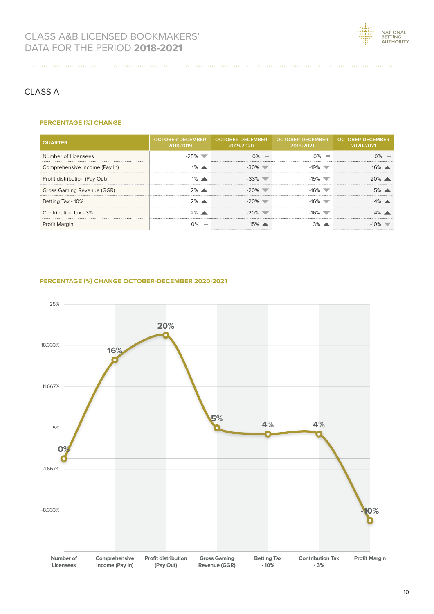

#### CLASS Α

. . . . . . . . . . . . . . . . . . . .

#### **PERCENTAGE (%) CHANGE**

| <b>QUARTER</b>                | <b>OCTOBER-DECEMBER</b><br>2018-2019 | <b>OCTOBER-DECEMBER</b><br>2019-2020 | <b>OCTOBER-DECEMBER</b><br>2019-2021 | OCTOBER-DECEMBER<br>2020-2021 |
|-------------------------------|--------------------------------------|--------------------------------------|--------------------------------------|-------------------------------|
| Number of Licensees           | $-25\%$                              | $0\% =$                              | $0\%$ $\blacksquare$                 |                               |
| Comprehensive Income (Pay In) |                                      |                                      | -19% 1                               | $16\%$ $\rightarrow$          |
| Profit distribution (Pay Out) |                                      | -33%                                 |                                      | $20\%$ $\triangle$            |
| Gross Gaming Revenue (GGR)    | $2%$ $\triangle$                     | $-20\%$                              | $-16\%$                              | $5\%$ $\triangle$             |
| Betting Tax - 10%             | $2\%$ $\blacktriangle$               | -20%-                                | -16% `                               | $4\%$ $\blacktriangle$        |
| Contribution tax - 3%         | $2\%$ $\triangle$                    | -20%                                 | -16% V                               | $4\%$ $\triangle$             |
| <b>Profit Margin</b>          |                                      |                                      | 3%                                   |                               |

#### **PERCENTAGE (%) CHANGE OCTOBER-DECEMBER 2020-2021**

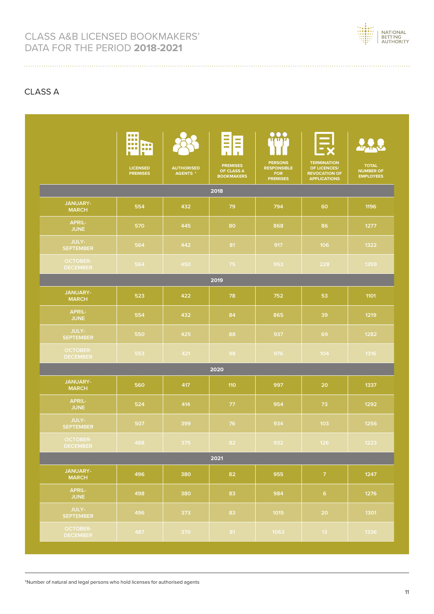

#### CLASS Α

|                                    | <b>DO 10</b><br>88 B<br>a a m<br><b>COD</b><br>سنزابننا<br>п<br>п<br><b>LICENSED</b><br><b>PREMISES</b> | <b>AUTHORISED</b><br><b>AGENTS *</b> | Ξ<br>Ξ<br>п<br>٠<br><b>PREMISES</b><br>OF CLASS A<br><b>BOOKMAKERS</b> | $\overline{O}$<br><b>PERSONS</b><br><b>RESPONSIBLE</b><br><b>FOR</b><br><b>PREMISES</b> | $\mathbf{E}$<br><b>TERMINATION</b><br>OF LICENCES/<br><b>REVOCATION OF</b><br><b>APPLICATIONS</b> | <b>TOTAL</b><br><b>NUMBER OF</b><br><b>EMPLOYEES</b> |
|------------------------------------|---------------------------------------------------------------------------------------------------------|--------------------------------------|------------------------------------------------------------------------|-----------------------------------------------------------------------------------------|---------------------------------------------------------------------------------------------------|------------------------------------------------------|
|                                    |                                                                                                         |                                      | 2018                                                                   |                                                                                         |                                                                                                   |                                                      |
| <b>JANUARY-</b><br><b>MARCH</b>    | 554                                                                                                     | 432                                  | 79                                                                     | 794                                                                                     | 60                                                                                                | 1196                                                 |
| <b>APRIL-</b><br><b>JUNE</b>       | 570                                                                                                     | 445                                  | 80                                                                     | 868                                                                                     | 86                                                                                                | 1277                                                 |
| JULY-<br><b>SEPTEMBER</b>          | 564                                                                                                     | 442                                  | 81                                                                     | 917                                                                                     | 106                                                                                               | 1322                                                 |
| <b>OCTOBER-</b><br><b>DECEMBER</b> | 564                                                                                                     | 450                                  | 75                                                                     | 953                                                                                     | 228                                                                                               | 1359                                                 |
|                                    |                                                                                                         |                                      | 2019                                                                   |                                                                                         |                                                                                                   |                                                      |
| <b>JANUARY-</b><br><b>MARCH</b>    | 523                                                                                                     | 422                                  | 78                                                                     | 752                                                                                     | 53                                                                                                | 1101                                                 |
| <b>APRIL-</b><br><b>JUNE</b>       | 554                                                                                                     | 432                                  | 84                                                                     | 865                                                                                     | 39                                                                                                | 1219                                                 |
| <b>JULY-</b><br><b>SEPTEMBER</b>   | 550                                                                                                     | 425                                  | 88                                                                     | 937                                                                                     | 69                                                                                                | 1282                                                 |
| <b>OCTOBER-</b><br><b>DECEMBER</b> | 553                                                                                                     | 421                                  | 98                                                                     | 976                                                                                     | 104                                                                                               | 1316                                                 |
|                                    |                                                                                                         |                                      | 2020                                                                   |                                                                                         |                                                                                                   |                                                      |
| <b>JANUARY-</b><br><b>MARCH</b>    | 560                                                                                                     | 417                                  | 110                                                                    | 997                                                                                     | 20                                                                                                | 1337                                                 |
| <b>APRIL-</b><br><b>JUNE</b>       | 524                                                                                                     | 414                                  | 77                                                                     | 954                                                                                     | 73                                                                                                | 1292                                                 |
| JULY-<br><b>SEPTEMBER</b>          | 507                                                                                                     | 399                                  | 76                                                                     | 934                                                                                     | 103                                                                                               | 1256                                                 |
| <b>OCTOBER-</b><br><b>DECEMBER</b> | 488                                                                                                     | 375                                  | 82                                                                     | 932                                                                                     | 126                                                                                               | 1223                                                 |
|                                    |                                                                                                         |                                      | 2021                                                                   |                                                                                         |                                                                                                   |                                                      |
| JANUARY-<br><b>MARCH</b>           | 496                                                                                                     | 380                                  | 82                                                                     | 955                                                                                     | $\mathcal{I}$                                                                                     | 1247                                                 |
| APRIL-<br><b>JUNE</b>              | 498                                                                                                     | 380                                  | 83                                                                     | 984                                                                                     | 6 <sup>1</sup>                                                                                    | 1276                                                 |
| JULY-<br><b>SEPTEMBER</b>          | 496                                                                                                     | 373                                  | 83                                                                     | 1015                                                                                    | 20                                                                                                | 1301                                                 |
| <b>OCTOBER-</b><br><b>DECEMBER</b> | 487                                                                                                     | 370                                  | 81                                                                     | 1063                                                                                    | 13 <sup>°</sup>                                                                                   | 1336                                                 |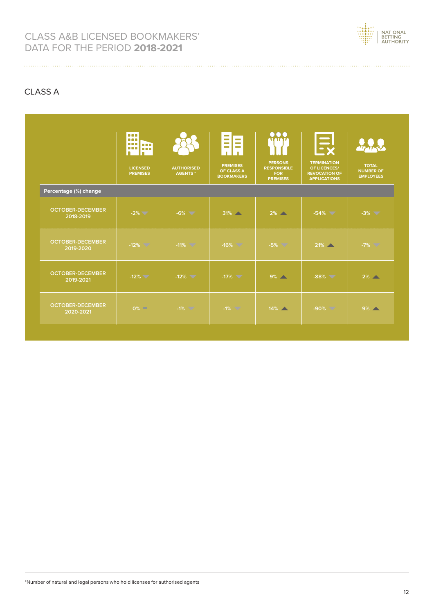

### CLASS Α

|                                      | <b>DOM:</b><br><b>DOM</b><br>بيرانيز<br>$\blacksquare$<br><b>III</b> |                                     | l a l<br>$\sim$<br><b>Contract</b><br>$\sim$<br><b>College</b><br><b>College</b><br>$\sim$<br>л.<br><b>ILL</b> | $\Omega_{\rm min}^{\rm OO}$                                           | $\Xi_{\mathsf{x}}$                                                                |                                                      |
|--------------------------------------|----------------------------------------------------------------------|-------------------------------------|----------------------------------------------------------------------------------------------------------------|-----------------------------------------------------------------------|-----------------------------------------------------------------------------------|------------------------------------------------------|
|                                      | <b>LICENSED</b><br><b>PREMISES</b>                                   | <b>AUTHORISED</b><br><b>AGENTS*</b> | <b>PREMISES</b><br>OF CLASS A<br><b>BOOKMAKERS</b>                                                             | <b>PERSONS</b><br><b>RESPONSIBLE</b><br><b>FOR</b><br><b>PREMISES</b> | <b>TERMINATION</b><br>OF LICENCES/<br><b>REVOCATION OF</b><br><b>APPLICATIONS</b> | <b>TOTAL</b><br><b>NUMBER OF</b><br><b>EMPLOYEES</b> |
| Percentage (%) change                |                                                                      |                                     |                                                                                                                |                                                                       |                                                                                   |                                                      |
| <b>OCTOBER-DECEMBER</b><br>2018-2019 | $-2\%$ $\blacktriangledown$                                          | $-6\%$                              | $31\%$ $\triangle$                                                                                             | $2\%$ $\rightarrow$                                                   | $-54\%$                                                                           | $-3\%$                                               |
| <b>OCTOBER-DECEMBER</b><br>2019-2020 | $-12\%$                                                              | $-11\%$                             | $-16\%$                                                                                                        | $-5\%$                                                                | $21\%$                                                                            | $-7\%$                                               |
| <b>OCTOBER-DECEMBER</b><br>2019-2021 | $-12\%$ $\blacktriangledown$                                         | $-12\%$                             | $-17\%$                                                                                                        | $9\%$ $\sim$                                                          | $-88\%$                                                                           | $2\%$ $\rightarrow$                                  |
| <b>OCTOBER-DECEMBER</b><br>2020-2021 | $0\%$ $\Box$                                                         | $-1\%$                              | $-1\%$                                                                                                         | $14\%$                                                                | $-90\%$                                                                           | $9\%$                                                |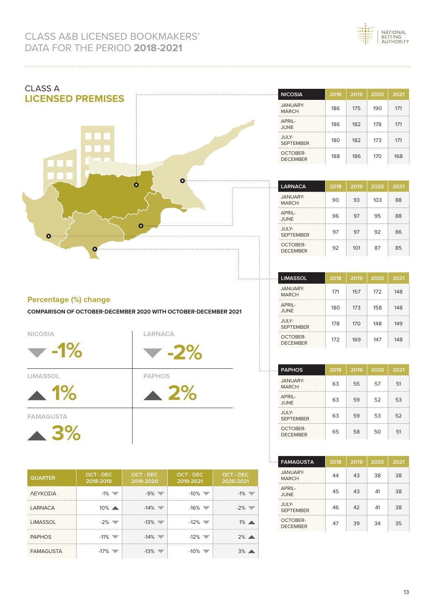



#### **Percentage (%) change**

**COMPARISON OF OCTOBER-DECEMBER 2020 WITH OCTOBER-DECEMBER 2021**



**LIMASSOL PAPHOS**

**1% 2%**

**FAMAGUSTA**

**3%**

| <b>QUARTER</b>   | <b>OCT - DEC</b><br>2018-2019 | <b>OCT - DEC</b><br>2019-2020 | <b>OCT - DEC</b><br>2019-2021 | <b>OCT - DEC</b><br>2020-2021 |
|------------------|-------------------------------|-------------------------------|-------------------------------|-------------------------------|
| ΛΕΥΚΩΣΙΑ         | $-1\%$                        |                               | $-10%$                        |                               |
| <b>LARNACA</b>   | $10\%$ $\triangle$            | $-14\%$                       | -16%                          | -2%                           |
| <b>LIMASSOL</b>  |                               | $-13%$                        | -12%                          | 1%                            |
| <b>PAPHOS</b>    | $-11\%$                       | $-14\%$                       | $-12\%$                       | $2\%$                         |
| <b>FAMAGUSTA</b> |                               |                               |                               |                               |

| <b>DECEMBER</b>             | 92   | 101  | 87   | 85   |
|-----------------------------|------|------|------|------|
|                             |      |      |      |      |
| <b>LIMASSOL</b>             | 2018 | 2019 | 2020 | 2021 |
| JANUARY-<br><b>MARCH</b>    | 171  | 157  | 172  | 148  |
| APRIL-<br>JUNE              | 180  | 173  | 158  | 148  |
| JULY-<br><b>SEPTEMBER</b>   | 178  | 170  | 148  | 149  |
| OCTOBER-<br><b>DECEMBER</b> | 172  | 169  | 147  | 148  |

| . | <b>PAPHOS</b>               | 2018 | 2019 | 2020 | 2021 |
|---|-----------------------------|------|------|------|------|
|   | JANUARY-<br><b>MARCH</b>    | 63   | 55   | 57   | 51   |
|   | APRIL-<br>JUNE              | 63   | 59   | 52   | 53   |
|   | JULY-<br><b>SEPTEMBER</b>   | 63   | 59   | 53   | 52   |
|   | OCTOBER-<br><b>DECEMBER</b> | 65   | 58   | 50   | 51   |

| <b>FAMAGUSTA</b><br>.       | 2018 | 2019 | 2020 | 2021 |
|-----------------------------|------|------|------|------|
| JANUARY-<br><b>MARCH</b>    | 44   | 43   | 38   | 38   |
| APRII-<br>JUNE              | 45   | 43   | 41   | 38   |
| JULY-<br><b>SEPTEMBER</b>   | 46   | 42   | 41   | 38   |
| OCTOBER-<br><b>DECEMBER</b> | 47   | 39   | 34   | 35   |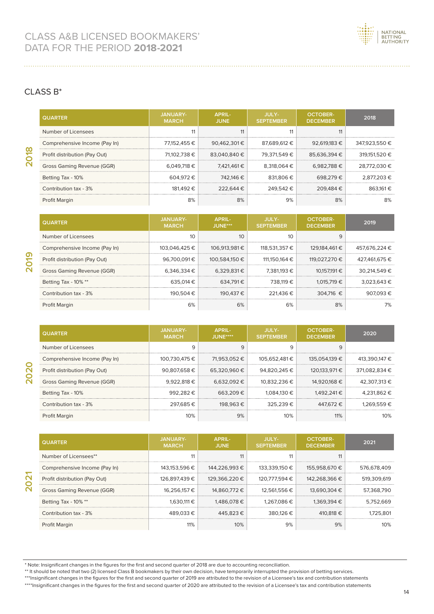

#### CLASS Β\*

| <b>QUARTER</b>                | <b>JANUARY-</b><br><b>MARCH</b> | APRIL-<br><b>JUNE</b> | JULY-<br><b>SEPTEMBER</b> | <b>OCTOBER-</b><br><b>DECEMBER</b> | 2018          |
|-------------------------------|---------------------------------|-----------------------|---------------------------|------------------------------------|---------------|
| Number of Licensees           |                                 |                       |                           |                                    |               |
| Comprehensive Income (Pay In) | 77.152.455 €                    | 90.462.301€           | 87.689.612 €              | 92.619.183 €                       | 347.923.550 € |
| Profit distribution (Pay Out) | 71.102.738 €                    | 83.040.840 €          | 79.371.549€               | 85.636.394 €                       | 319.151.520 € |
| Gross Gaming Revenue (GGR)    | 6.049.718 €                     | 7.421.461 €           | 8.318.064 €               | 6.982.788€                         | 28.772.030 €  |
| Betting Tax - 10%             | 604.972€                        | 742.146 €             | 831.806€                  | 698.279€                           | 2.877.203€    |
| Contribution tax - 3%         | 181.492 €                       | 222.644€              | 249.542€                  | 209.484 €                          | 863.161 €     |
| Profit Margin                 | 8%                              | 8%                    | 9%                        | 8%                                 | 8%            |

| <b>QUARTER</b>                | <b>JANUARY-</b><br><b>MARCH</b> | <b>APRIL-</b><br>JUNE*** | JULY-<br><b>SEPTEMBER</b> | <b>OCTOBER-</b><br><b>DECEMBER</b> | 2019          |
|-------------------------------|---------------------------------|--------------------------|---------------------------|------------------------------------|---------------|
| Number of Licensees           | 10                              | 10                       | 10                        | a                                  |               |
| Comprehensive Income (Pay In) | 103.046.425 €                   | 106.913.981€             | 118.531.357 €             | 129.184.461 €                      | 457.676.224 € |
| Profit distribution (Pay Out) | 96.700.091€                     | 100.584.150 €            | 111.150.164 €             | 119.027.270 €                      | 427.461.675 € |
| Gross Gaming Revenue (GGR)    | 6.346.334 €                     | 6.329.831€               | 7.381.193 €               | 10.157.191 €                       | 30.214.549 €  |
| Betting Tax - 10% **          | 635.014 €                       | 634.791€                 | 738.119€                  | 1.015.719 €                        | 3.023.643€    |
| Contribution tax - 3%         | 190.504 €                       | 190.437€                 | 221.436€                  | 304.716 €                          | 907.093€      |
| Profit Margin                 | 6%                              | 6%                       | 6%                        | 8%                                 |               |

| <b>QUARTER</b>                | JANUARY-<br><b>MARCH</b> | APRIL-<br>$J$ UNF**** | <b>JULY-</b><br><b>SEPTEMBER</b> | <b>OCTOBER-</b><br><b>DECEMBER</b> | 2020          |
|-------------------------------|--------------------------|-----------------------|----------------------------------|------------------------------------|---------------|
| Number of Licensees           | 9                        | 9                     |                                  | 9                                  |               |
| Comprehensive Income (Pay In) | 100.730.475 €            | 71.953.052 €          | 105.652.481 €                    | 135.054.139 €                      | 413.390.147 € |
| Profit distribution (Pay Out) | 90.807.658€              | 65.320.960€           | 94.820.245 €                     | 120.133.971 €                      | 371.082.834 € |
| Gross Gaming Revenue (GGR)    | 9.922.818€               | 6.632.092€            | 10.832.236 €                     | 14.920.168 €                       | 42.307.313 €  |
| Betting Tax - 10%             | 992.282€                 | 663.209€              | 1.084.130 €                      | 1.492.241 €                        | 4.231.862 €   |
| Contribution tax - 3%         | 297.685€                 | 198.963€              | 325.239€                         | 447,672 €                          | 1.269.559€    |
| Profit Margin                 | 10%                      | 9%                    | 10%                              | 11%                                | 10%           |

|                | Profit distribution (Pay Out) | 90,807,658€                     | 65,320,960€                  | 94,820,245€               | 120,133,971 €                      | 371,082,834 € |
|----------------|-------------------------------|---------------------------------|------------------------------|---------------------------|------------------------------------|---------------|
|                | Gross Gaming Revenue (GGR)    | 9,922,818€                      | 6,632,092 €                  | 10,832,236 €              | 14,920,168 €                       | 42,307,313 €  |
|                | Betting Tax - 10%             | 992,282€                        | 663,209€                     | 1.084.130 €               | 1,492,241€                         | 4,231,862 €   |
|                | Contribution tax - 3%         | 297.685€                        | 198.963€                     | 325,239€                  | 447,672€                           | 1,269,559€    |
| Profit Margin  |                               | 10%                             | 9%                           | 10%                       | 11%                                | 10%           |
|                |                               |                                 |                              |                           |                                    |               |
| <b>QUARTER</b> |                               | <b>JANUARY-</b><br><b>MARCH</b> | <b>APRIL-</b><br><b>JUNE</b> | JULY-<br><b>SEPTEMBER</b> | <b>OCTOBER-</b><br><b>DECEMBER</b> | 2021          |
|                | Number of Licensees**         | 11                              | 11                           | 11                        | 11                                 |               |
|                | Comprehensive Income (Pay In) | 143,153,596 €                   | 144,226,993 €                | 133,339,150 €             | 155,958,670 €                      | 576,678,409   |
|                | Profit distribution (Pay Out) | 126,897,439€                    | 129,366,220 €                | 120,777,594 €             | 142,268,366 €                      | 519,309,619   |
|                | Gross Gaming Revenue (GGR)    | 16,256,157€                     | 14,860,772 €                 | 12,561,556 €              | 13,690,304 €                       | 57,368,790    |
|                | Betting Tax - 10% **          | 1,630,111 €                     | 1,486,078 €                  | 1,267,086 €               | 1,369,394 €                        | 5,752,669     |
|                | Contribution tax - 3%         | 489,033€                        | 445,823€                     | 380,126€                  | 410,818 €                          | 1,725,801     |
|                | Profit Margin                 | 11%                             | 10%                          | 9%                        | 9%                                 | 10%           |

<sup>\*</sup> Note: Insignificant changes in the figures for the first and second quarter of 2018 are due to accounting reconciliation.

\*\* It should be noted that two (2) licensed Class B bookmakers by their own decision, have temporarily interrupted the provision of betting services.<br>\*\*\*Insignificant changes in the figures for the first and second quarter

\*\*\*\*Insignificant changes in the figures for the first and second quarter of 2020 are attributed to the revision of a Licensee's tax and contribution statements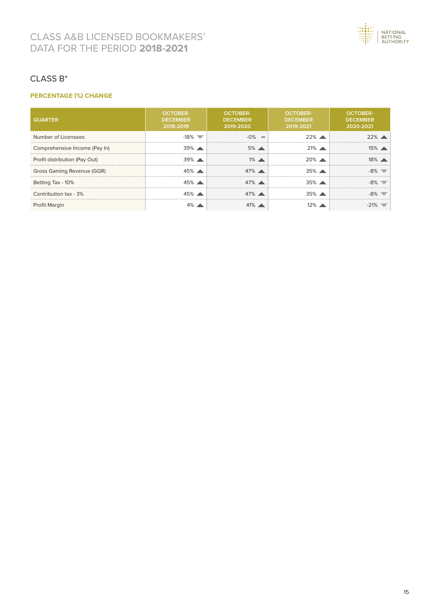

#### CLASS Β\*

#### **PERCENTAGE (%) CHANGE**

| <b>QUARTER</b>                | <b>OCTOBER-</b><br><b>DECEMBER</b><br>2018-2019 | <b>OCTOBER-</b><br><b>DECEMBER</b><br>2019-2020 | <b>OCTOBER-</b><br><b>DECEMBER</b><br>2019-2021 | <b>OCTOBER-</b><br><b>DECEMBER</b><br>2020-2021 |
|-------------------------------|-------------------------------------------------|-------------------------------------------------|-------------------------------------------------|-------------------------------------------------|
| Number of Licensees           | $-18\%$                                         | $-0\%$<br><b>COL</b>                            | $22\%$ $\angle$                                 |                                                 |
| Comprehensive Income (Pay In) | $39\%$ $\rightarrow$                            | $5\%$ $\triangle$                               | $21\%$ $\rightarrow$                            |                                                 |
| Profit distribution (Pay Out) | $39\%$ $\triangle$                              | $1\%$ $\blacktriangle$                          | $20%$ $\triangle$                               |                                                 |
| Gross Gaming Revenue (GGR)    | $45\%$ $\triangle$                              | $47\%$ $\triangle$                              | $35\%$ $\rightarrow$                            |                                                 |
| Betting Tax - 10%             | 45%                                             | $47\%$ $\triangle$                              | $35\%$ $\sim$                                   |                                                 |
| Contribution tax - 3%         |                                                 | $47\%$ $\triangle$                              | $35\%$ $\angle$                                 |                                                 |
| <b>Profit Margin</b>          |                                                 | $41\%$                                          |                                                 |                                                 |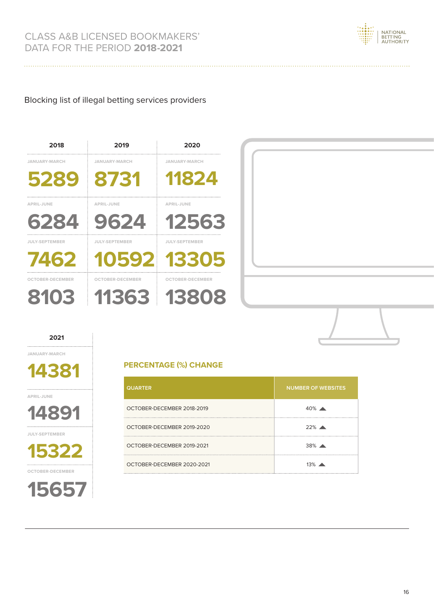

#### Blocking list of illegal betting services providers

# **5289 8731 11824 6284 9624 12563 7462 10592 13305 8103 11363 13808 2018 2019 2020 JANUARY-MARCH JANUARY-MARCH JANUARY-MARCH APRIL-JUNE APRIL-JUNE APRIL-JUNE JULY-SEPTEMBER JULY-SEPTEMBER JULY-SEPTEMBER OCTOBER-DECEMBER OCTOBER-DECEMBER OCTOBER-DECEMBER**

#### **2021**

**JANUARY-MARCH**

**14381**

**APRIL-JUNE**



**15322 JULY-SEPTEMBER**



#### **PERCENTAGE (%) CHANGE**

| <b>QUARTER</b>             | <b>NUMBER OF WEBSITES</b> |
|----------------------------|---------------------------|
| OCTOBER-DECEMBER 2018-2019 | $40\%$ $\triangle$        |
| OCTOBER-DECEMBER 2019-2020 | 22%                       |
| OCTOBER-DECEMBER 2019-2021 | $38\%$ $\triangle$        |
| OCTOBER-DECEMBER 2020-2021 | $13\%$                    |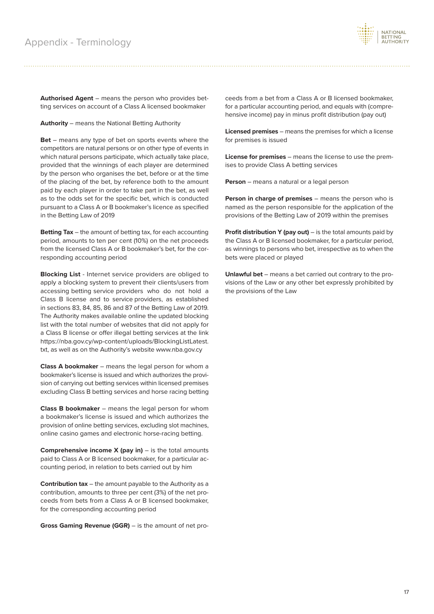

**Authorised Agent** – means the person who provides betting services on account of a Class A licensed bookmaker

**Authority** – means the National Betting Authority

**Bet** – means any type of bet on sports events where the competitors are natural persons or on other type of events in which natural persons participate, which actually take place, provided that the winnings of each player are determined by the person who organises the bet, before or at the time of the placing of the bet, by reference both to the amount paid by each player in order to take part in the bet, as well as to the odds set for the specific bet, which is conducted pursuant to a Class A or B bookmaker's licence as specified in the Betting Law of 2019

**Betting Tax** – the amount of betting tax, for each accounting period, amounts to ten per cent (10%) on the net proceeds from the licensed Class A or B bookmaker's bet, for the corresponding accounting period

**Blocking List** - Internet service providers are obliged to apply a blocking system to prevent their clients/users from accessing betting service providers who do not hold a Class B license and to service providers, as established in sections 83, 84, 85, 86 and 87 of the Betting Law of 2019. The Authority makes available online the updated blocking list with the total number of websites that did not apply for a Class B license or offer illegal betting services at the link https://nba.gov.cy/wp-content/uploads/BlockingListLatest. txt, as well as on the Authority's website www.nba.gov.cy

**Class A bookmaker** – means the legal person for whom a bookmaker's license is issued and which authorizes the provision of carrying out betting services within licensed premises excluding Class B betting services and horse racing betting

**Class B bookmaker** – means the legal person for whom a bookmaker's license is issued and which authorizes the provision of online betting services, excluding slot machines, online casino games and electronic horse-racing betting.

**Comprehensive income X (pay in)** – is the total amounts paid to Class A or B licensed bookmaker, for a particular accounting period, in relation to bets carried out by him

**Contribution tax** – the amount payable to the Authority as a contribution, amounts to three per cent (3%) of the net proceeds from bets from a Class A or B licensed bookmaker, for the corresponding accounting period

**Gross Gaming Revenue (GGR)** – is the amount of net pro-

ceeds from a bet from a Class A or B licensed bookmaker, for a particular accounting period, and equals with (comprehensive income) pay in minus profit distribution (pay out)

**Licensed premises** – means the premises for which a license for premises is issued

**License for premises** – means the license to use the premises to provide Class A betting services

**Person** – means a natural or a legal person

**Person in charge of premises** – means the person who is named as the person responsible for the application of the provisions of the Betting Law of 2019 within the premises

**Profit distribution Y (pay out)** – is the total amounts paid by the Class A or B licensed bookmaker, for a particular period, as winnings to persons who bet, irrespective as to when the bets were placed or played

**Unlawful bet** – means a bet carried out contrary to the provisions of the Law or any other bet expressly prohibited by the provisions of the Law